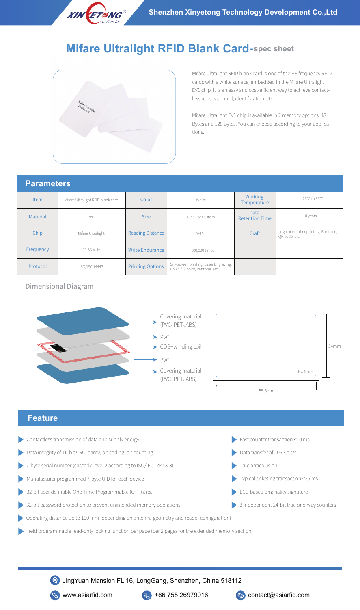

# **Mifare Ultralight RFID Blank Card-spec sheet**



Mifare Ultralight RFID blank card is one of the HF frequency RFID cards with a white surface, embedded in the Mifare Ultralight EV1 chip. It is an easy and cost-efficient way to achieve contactless access control, identification, etc.

Mifare Ultralight EV1 chip is available in 2 memory options: 48 Bytes and 128 Bytes. You can choose according to your applications.

## **Parameters**

| l alam <del>o</del> t <del>o</del> lo |                                   |                         |                                                                          |                                      |                                                     |
|---------------------------------------|-----------------------------------|-------------------------|--------------------------------------------------------------------------|--------------------------------------|-----------------------------------------------------|
| <b>Item</b>                           | Mifare Ultralight RFID blank card | Color                   | White                                                                    | Working<br><b>Temperature</b>        | -25 $^{\circ}$ C to 65 $^{\circ}$ C                 |
| <b>Material</b>                       | <b>PVC</b>                        | <b>Size</b>             | CR 80 or Custom                                                          | <b>Data</b><br><b>Retention Time</b> | 10 years                                            |
| Chip                                  | Mifare Ultralight                 | <b>Reading Distance</b> | 0~10~cm                                                                  | Craft                                | Logo or number printing, Bar code,<br>OR code, etc. |
| Frequency                             | 13.56 MHz                         | <b>Write Endurance</b>  | 100,000 times                                                            |                                      |                                                     |
| Protocol                              | ISO/IEC 14443                     | <b>Printing Options</b> | Silk-screen printing, Laser Engraving,<br>CMYK full color, Pantone, etc. |                                      |                                                     |

#### Dimensional Diagram





### **Feature**

- Contactless transmission of data and supply energy
- Data integrity of 16-bit CRC, parity, bit coding, bit counting Data integrity of 106 Kbit/s
- 7-byte serial number (cascade level 2 according to ISO/IEC 14443-3)
- Manufacturer programmed 7-byte UID for each device
- 32-bit user definable One-Time Programmable (OTP) area
- 32-bit password protection to prevent unintended memory operations
- Operating distance up to 100 mm (depending on antenna geometry and reader configuration)
- Field programmable read-only locking function per page (per 2 pages for the extended memory section)
- Fast counter transaction:<10 ms
- 
- True anticollision
- Typical ticketing transaction:<35 ms
- ECC-based originality signature
- 3 independent 24-bit true one-way counters

www.asiarfid.com  $\left(\frac{1}{2}\right)$  +86 755 26979016  $\left(\frac{1}{2}\right)$  contact@asiarfid.com JingYuan Mansion FL 16, LongGang, Shenzhen, China 518112